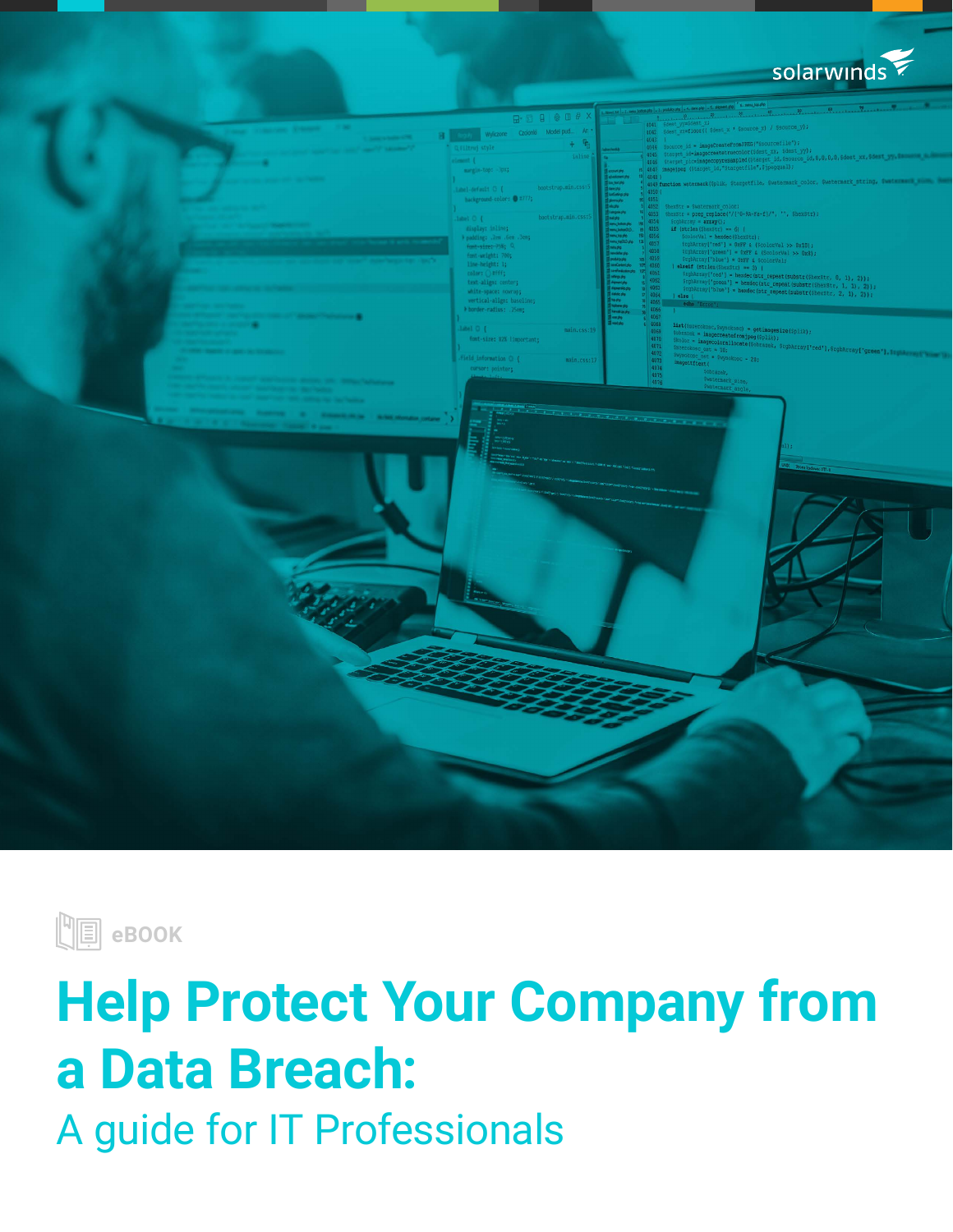





# **Help Protect Your Company from a Data Breach:** A guide for IT Professionals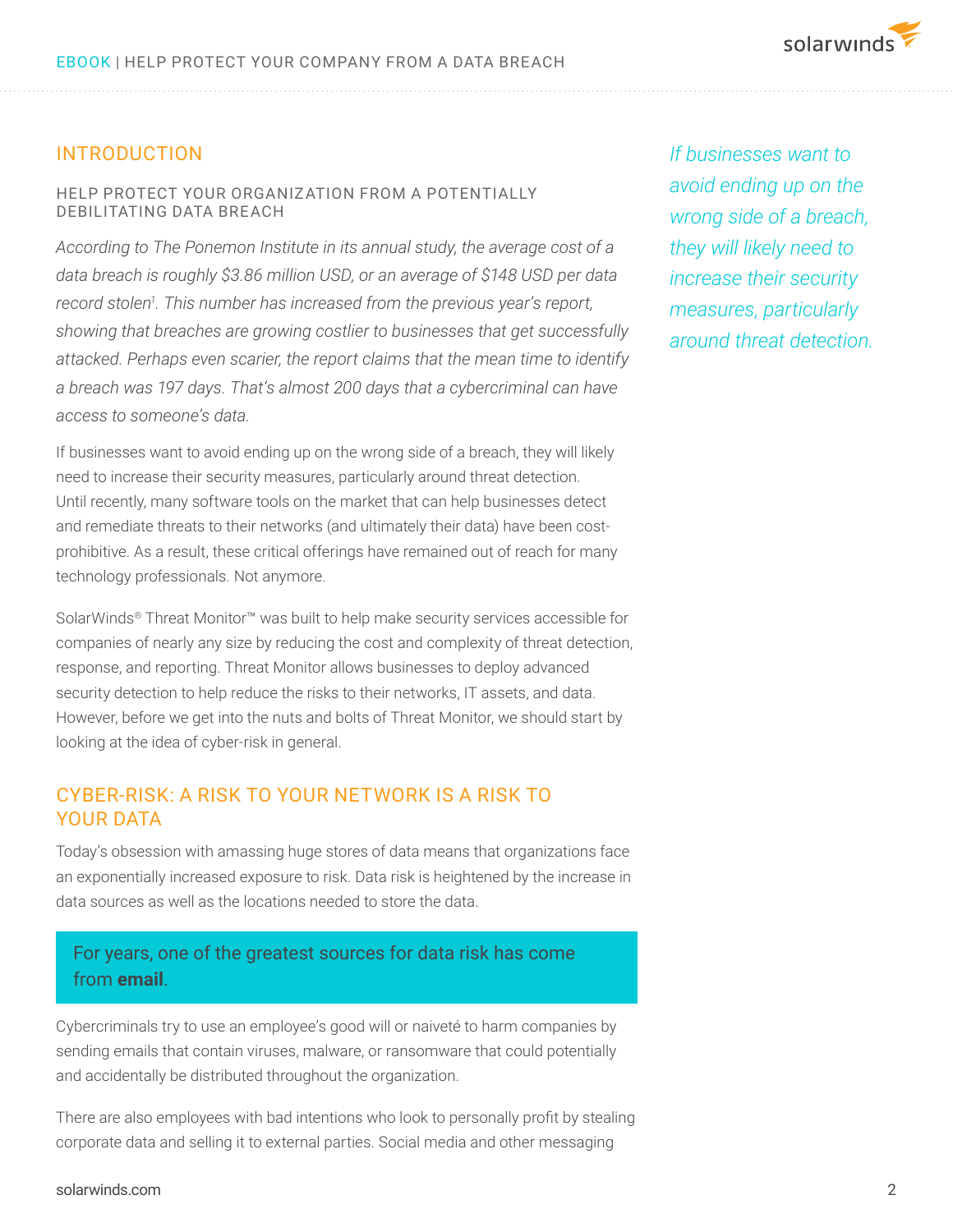# INTRODUCTION

#### HELP PROTECT YOUR ORGANIZATION FROM A POTENTIALLY DEBILITATING DATA BREACH

*According to The Ponemon Institute in its annual study, the average cost of a data breach is roughly \$3.86 million USD, or an average of \$148 USD per data record stolen1 . This number has increased from the previous year's report, showing that breaches are growing costlier to businesses that get successfully attacked. Perhaps even scarier, the report claims that the mean time to identify a breach was 197 days. That's almost 200 days that a cybercriminal can have access to someone's data.* 

If businesses want to avoid ending up on the wrong side of a breach, they will likely need to increase their security measures, particularly around threat detection. Until recently, many software tools on the market that can help businesses detect and remediate threats to their networks (and ultimately their data) have been costprohibitive. As a result, these critical offerings have remained out of reach for many technology professionals. Not anymore.

SolarWinds® Threat Monitor™ was built to help make security services accessible for companies of nearly any size by reducing the cost and complexity of threat detection, response, and reporting. Threat Monitor allows businesses to deploy advanced security detection to help reduce the risks to their networks, IT assets, and data. However, before we get into the nuts and bolts of Threat Monitor, we should start by looking at the idea of cyber-risk in general.

### CYBER-RISK: A RISK TO YOUR NETWORK IS A RISK TO YOUR DATA

Today's obsession with amassing huge stores of data means that organizations face an exponentially increased exposure to risk. Data risk is heightened by the increase in data sources as well as the locations needed to store the data.

# For years, one of the greatest sources for data risk has come from **email**.

Cybercriminals try to use an employee's good will or naiveté to harm companies by sending emails that contain viruses, malware, or ransomware that could potentially and accidentally be distributed throughout the organization.

There are also employees with bad intentions who look to personally profit by stealing corporate data and selling it to external parties. Social media and other messaging

*If businesses want to avoid ending up on the wrong side of a breach, they will likely need to increase their security measures, particularly around threat detection.*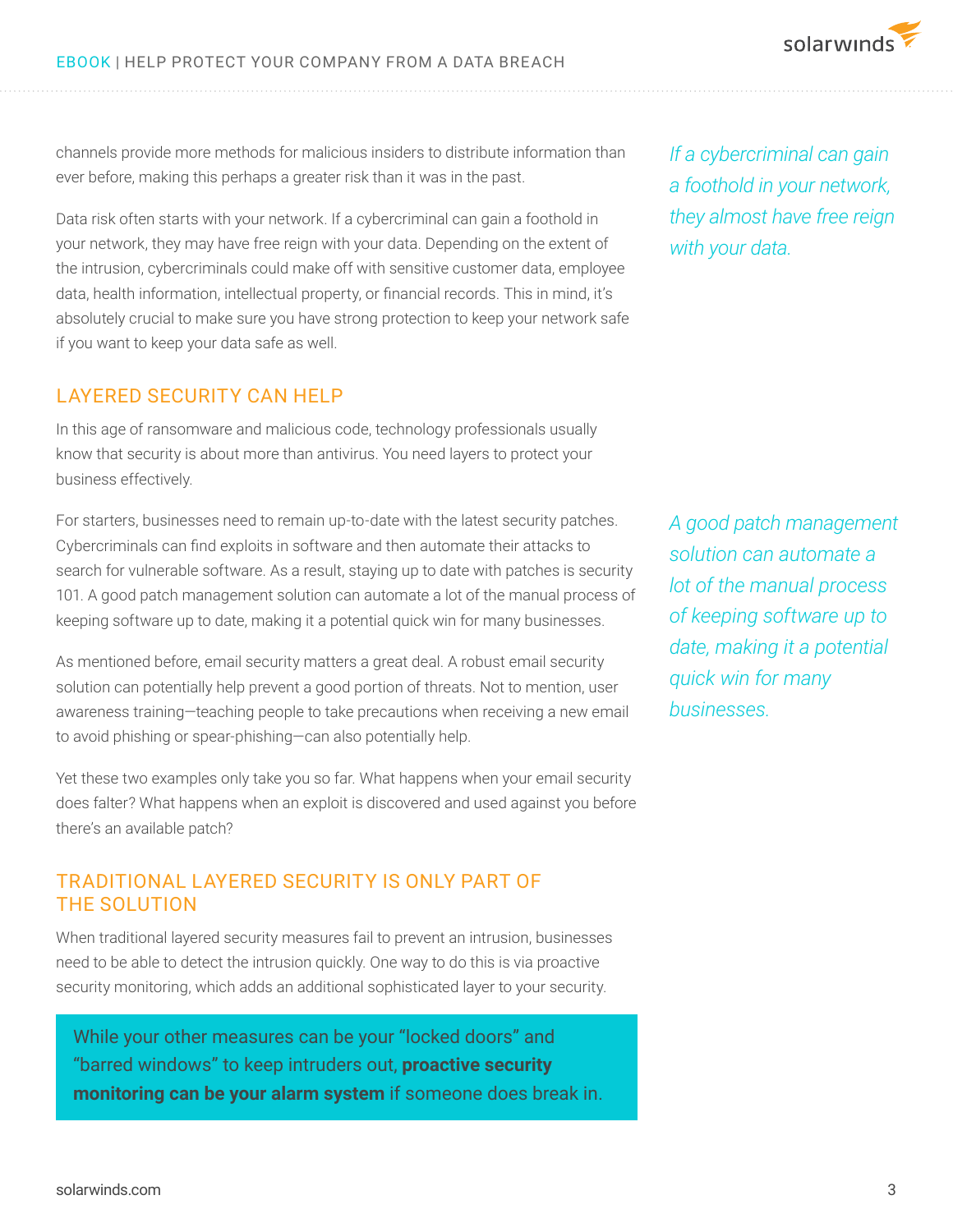channels provide more methods for malicious insiders to distribute information than ever before, making this perhaps a greater risk than it was in the past.

Data risk often starts with your network. If a cybercriminal can gain a foothold in your network, they may have free reign with your data. Depending on the extent of the intrusion, cybercriminals could make off with sensitive customer data, employee data, health information, intellectual property, or financial records. This in mind, it's absolutely crucial to make sure you have strong protection to keep your network safe if you want to keep your data safe as well.

#### LAYERED SECURITY CAN HELP

In this age of ransomware and malicious code, technology professionals usually know that security is about more than antivirus. You need layers to protect your business effectively.

For starters, businesses need to remain up-to-date with the latest security patches. Cybercriminals can find exploits in software and then automate their attacks to search for vulnerable software. As a result, staying up to date with patches is security 101. A good patch management solution can automate a lot of the manual process of keeping software up to date, making it a potential quick win for many businesses.

As mentioned before, email security matters a great deal. A robust email security solution can potentially help prevent a good portion of threats. Not to mention, user awareness training—teaching people to take precautions when receiving a new email to avoid phishing or spear-phishing—can also potentially help.

Yet these two examples only take you so far. What happens when your email security does falter? What happens when an exploit is discovered and used against you before there's an available patch?

## TRADITIONAL LAYERED SECURITY IS ONLY PART OF THE SOLUTION

When traditional layered security measures fail to prevent an intrusion, businesses need to be able to detect the intrusion quickly. One way to do this is via proactive security monitoring, which adds an additional sophisticated layer to your security.

While your other measures can be your "locked doors" and "barred windows" to keep intruders out, **proactive security monitoring can be your alarm system** if someone does break in. *If a cybercriminal can gain a foothold in your network, they almost have free reign with your data.*

*A good patch management solution can automate a lot of the manual process of keeping software up to date, making it a potential quick win for many businesses.*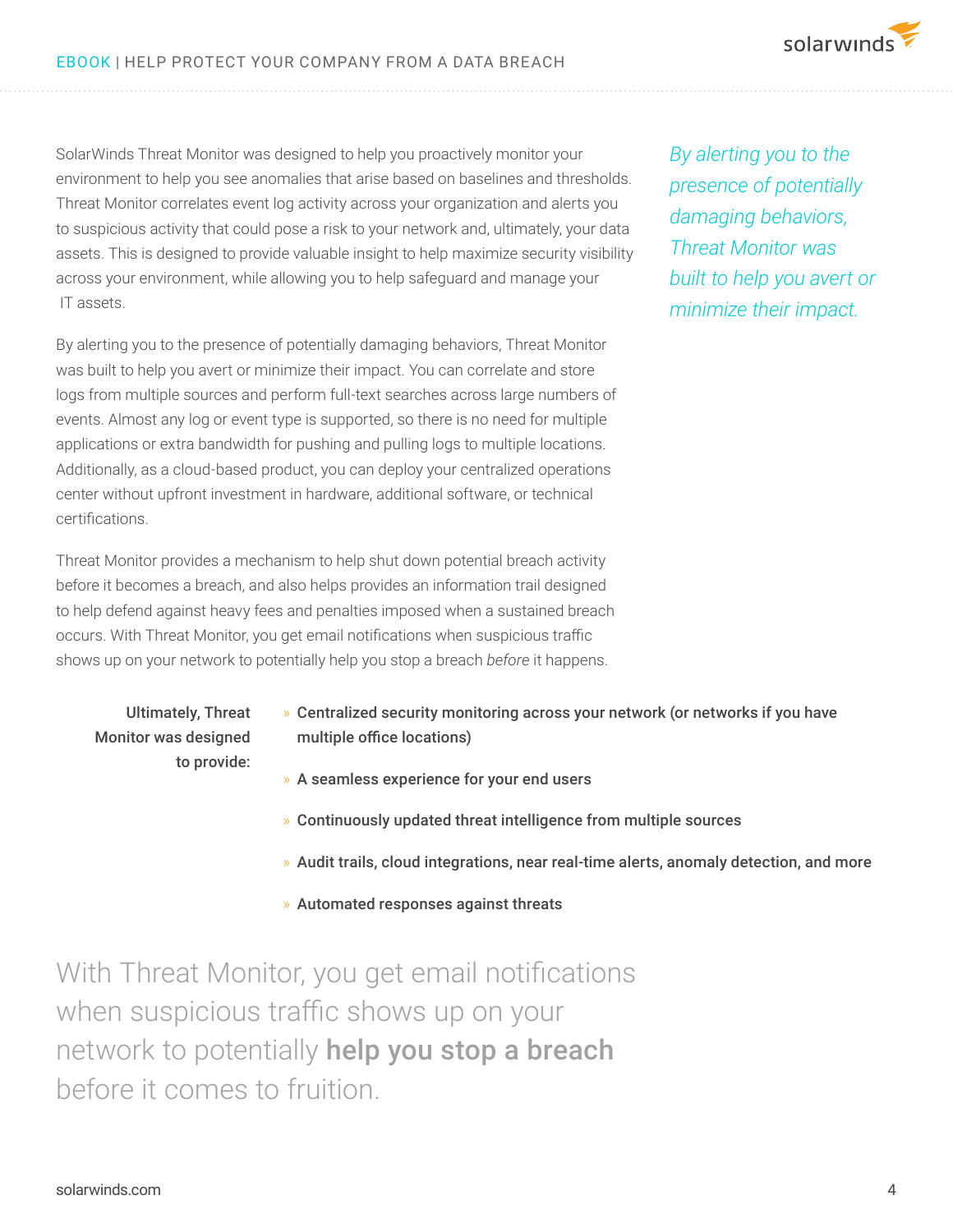SolarWinds Threat Monitor was designed to help you proactively monitor your environment to help you see anomalies that arise based on baselines and thresholds. Threat Monitor correlates event log activity across your organization and alerts you to suspicious activity that could pose a risk to your network and, ultimately, your data assets. This is designed to provide valuable insight to help maximize security visibility across your environment, while allowing you to help safeguard and manage your IT assets.

By alerting you to the presence of potentially damaging behaviors, Threat Monitor was built to help you avert or minimize their impact. You can correlate and store logs from multiple sources and perform full-text searches across large numbers of events. Almost any log or event type is supported, so there is no need for multiple applications or extra bandwidth for pushing and pulling logs to multiple locations. Additionally, as a cloud-based product, you can deploy your centralized operations center without upfront investment in hardware, additional software, or technical certifications.

Threat Monitor provides a mechanism to help shut down potential breach activity before it becomes a breach, and also helps provides an information trail designed to help defend against heavy fees and penalties imposed when a sustained breach occurs. With Threat Monitor, you get email notifications when suspicious traffic shows up on your network to potentially help you stop a breach *before* it happens.

**TRY IT FREE** *presence of potentially By alerting you to the damaging behaviors, Threat Monitor was built to help you avert or minimize their impact.* 

solarwinds

Ultimately, Threat Monitor was designed to provide:

- » Centralized security monitoring across your network (or networks if you have multiple office locations)
- » A seamless experience for your end users
- » Continuously updated threat intelligence from multiple sources
- » Audit trails, cloud integrations, near real-time alerts, anomaly detection, and more
- » Automated responses against threats

With Threat Monitor, you get email notifications when suspicious traffic shows up on your network to potentially help you stop a breach before it comes to fruition.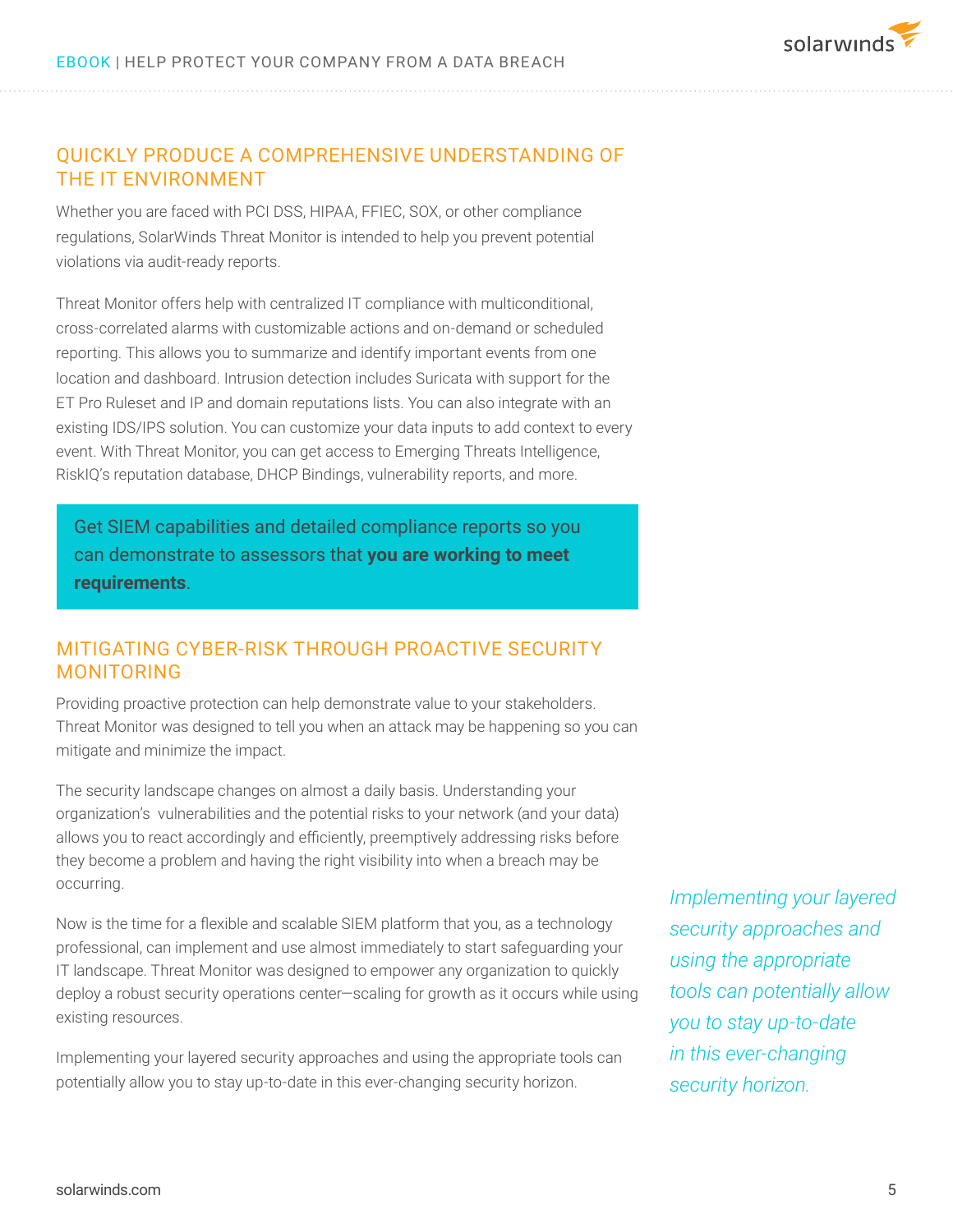

# QUICKLY PRODUCE A COMPREHENSIVE UNDERSTANDING OF THE IT ENVIRONMENT

Whether you are faced with PCI DSS, HIPAA, FFIEC, SOX, or other compliance regulations, SolarWinds Threat Monitor is intended to help you prevent potential violations via audit-ready reports.

Threat Monitor offers help with centralized IT compliance with multiconditional, cross-correlated alarms with customizable actions and on-demand or scheduled reporting. This allows you to summarize and identify important events from one location and dashboard. Intrusion detection includes Suricata with support for the ET Pro Ruleset and IP and domain reputations lists. You can also integrate with an existing IDS/IPS solution. You can customize your data inputs to add context to every event. With Threat Monitor, you can get access to Emerging Threats Intelligence, RiskIQ's reputation database, DHCP Bindings, vulnerability reports, and more.

Get SIEM capabilities and detailed compliance reports so you can demonstrate to assessors that **you are working to meet requirements**.

# MITIGATING CYBER-RISK THROUGH PROACTIVE SECURITY MONITORING

Providing proactive protection can help demonstrate value to your stakeholders. Threat Monitor was designed to tell you when an attack may be happening so you can mitigate and minimize the impact.

The security landscape changes on almost a daily basis. Understanding your organization's vulnerabilities and the potential risks to your network (and your data) allows you to react accordingly and efficiently, preemptively addressing risks before they become a problem and having the right visibility into when a breach may be occurring.

Now is the time for a flexible and scalable SIEM platform that you, as a technology professional, can implement and use almost immediately to start safeguarding your IT landscape. Threat Monitor was designed to empower any organization to quickly deploy a robust security operations center—scaling for growth as it occurs while using existing resources.

Implementing your layered security approaches and using the appropriate tools can potentially allow you to stay up-to-date in this ever-changing security horizon.

*Implementing your layered security approaches and using the appropriate tools can potentially allow you to stay up-to-date in this ever-changing security horizon.*